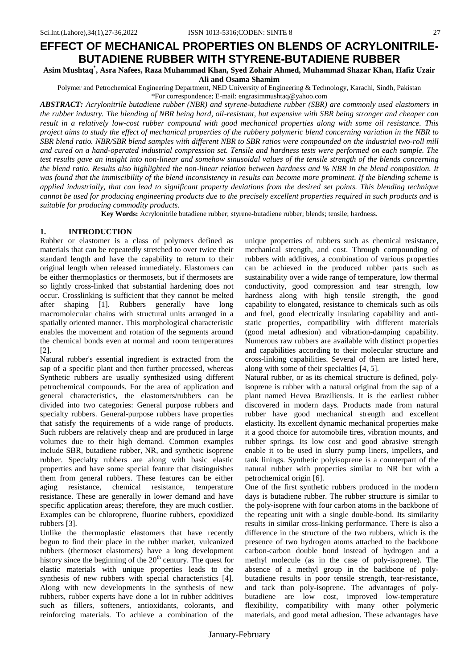# **EFFECT OF MECHANICAL PROPERTIES ON BLENDS OF ACRYLONITRILE-BUTADIENE RUBBER WITH STYRENE-BUTADIENE RUBBER**

**Asim Mushtaq\* , Asra Nafees, Raza Muhammad Khan, Syed Zohair Ahmed, Muhammad Shazar Khan, Hafiz Uzair Ali and Osama Shamim**

Polymer and Petrochemical Engineering Department, NED University of Engineering & Technology, Karachi, Sindh, Pakistan \*For correspondence; E-mail[: engrasimmushtaq@yahoo.com](mailto:engrasimmushtaq@yahoo.com)

*ABSTRACT: Acrylonitrile butadiene rubber (NBR) and styrene-butadiene rubber (SBR) are commonly used elastomers in the rubber industry. The blending of NBR being hard, oil-resistant, but expensive with SBR being stronger and cheaper can result in a relatively low-cost rubber compound with good mechanical properties along with some oil resistance. This project aims to study the effect of mechanical properties of the rubbery polymeric blend concerning variation in the NBR to SBR blend ratio. NBR/SBR blend samples with different NBR to SBR ratios were compounded on the industrial two-roll mill and cured on a hand-operated industrial compression set. Tensile and hardness tests were performed on each sample. The test results gave an insight into non-linear and somehow sinusoidal values of the tensile strength of the blends concerning the blend ratio. Results also highlighted the non-linear relation between hardness and % NBR in the blend composition. It was found that the immiscibility of the blend inconsistency in results can become more prominent. If the blending scheme is applied industrially, that can lead to significant property deviations from the desired set points. This blending technique cannot be used for producing engineering products due to the precisely excellent properties required in such products and is suitable for producing commodity products.*

**Key Words:** Acrylonitrile butadiene rubber; styrene-butadiene rubber; blends; tensile; hardness.

# **1. INTRODUCTION**

Rubber or elastomer is a class of polymers defined as materials that can be repeatedly stretched to over twice their standard length and have the capability to return to their original length when released immediately. Elastomers can be either thermoplastics or thermosets, but if thermosets are so lightly cross-linked that substantial hardening does not occur. Crosslinking is sufficient that they cannot be melted after shaping [\[1\]](#page-9-0). Rubbers generally have long macromolecular chains with structural units arranged in a spatially oriented manner. This morphological characteristic enables the movement and rotation of the segments around the chemical bonds even at normal and room temperatures [\[2\]](#page-9-1).

Natural rubber's essential ingredient is extracted from the sap of a specific plant and then further processed, whereas Synthetic rubbers are usually synthesized using different petrochemical compounds. For the area of application and general characteristics, the elastomers/rubbers can be divided into two categories: General purpose rubbers and specialty rubbers. General-purpose rubbers have properties that satisfy the requirements of a wide range of products. Such rubbers are relatively cheap and are produced in large volumes due to their high demand. Common examples include SBR, butadiene rubber, NR, and synthetic isoprene rubber. Specialty rubbers are along with basic elastic properties and have some special feature that distinguishes them from general rubbers. These features can be either aging resistance, chemical resistance, temperature resistance. These are generally in lower demand and have specific application areas; therefore, they are much costlier. Examples can be chloroprene, fluorine rubbers, epoxidized rubbers [\[3\]](#page-9-2).

Unlike the thermoplastic elastomers that have recently begun to find their place in the rubber market, vulcanized rubbers (thermoset elastomers) have a long development history since the beginning of the  $20<sup>th</sup>$  century. The quest for elastic materials with unique properties leads to the synthesis of new rubbers with special characteristics [\[4\]](#page-9-3). Along with new developments in the synthesis of new rubbers, rubber experts have done a lot in rubber additives such as fillers, softeners, antioxidants, colorants, and reinforcing materials. To achieve a combination of the

unique properties of rubbers such as chemical resistance, mechanical strength, and cost. Through compounding of rubbers with additives, a combination of various properties can be achieved in the produced rubber parts such as sustainability over a wide range of temperature, low thermal conductivity, good compression and tear strength, low hardness along with high tensile strength, the good capability to elongated, resistance to chemicals such as oils and fuel, good electrically insulating capability and antistatic properties, compatibility with different materials (good metal adhesion) and vibration-damping capability. Numerous raw rubbers are available with distinct properties and capabilities according to their molecular structure and cross-linking capabilities. Several of them are listed here, along with some of their specialties [\[4,](#page-9-3) [5\]](#page-9-4).

Natural rubber, or as its chemical structure is defined, polyisoprene is rubber with a natural original from the sap of a plant named Hevea Braziliensis. It is the earliest rubber discovered in modern days. Products made from natural rubber have good mechanical strength and excellent elasticity. Its excellent dynamic mechanical properties make it a good choice for automobile tires, vibration mounts, and rubber springs. Its low cost and good abrasive strength enable it to be used in slurry pump liners, impellers, and tank linings. Synthetic polyisoprene is a counterpart of the natural rubber with properties similar to NR but with a petrochemical origin [\[6\]](#page-9-5).

One of the first synthetic rubbers produced in the modern days is butadiene rubber. The rubber structure is similar to the poly-isoprene with four carbon atoms in the backbone of the repeating unit with a single double-bond. Its similarity results in similar cross-linking performance. There is also a difference in the structure of the two rubbers, which is the presence of two hydrogen atoms attached to the backbone carbon-carbon double bond instead of hydrogen and a methyl molecule (as in the case of poly-isoprene). The absence of a methyl group in the backbone of polybutadiene results in poor tensile strength, tear-resistance, and tack than poly-isoprene. The advantages of polybutadiene are low cost, improved low-temperature flexibility, compatibility with many other polymeric materials, and good metal adhesion. These advantages have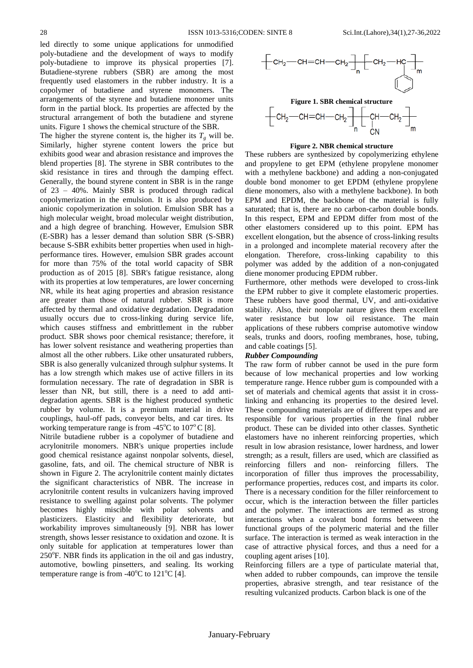led directly to some unique applications for unmodified poly-butadiene and the development of ways to modify poly-butadiene to improve its physical properties [\[7\]](#page-9-6). Butadiene-styrene rubbers (SBR) are among the most frequently used elastomers in the rubber industry. It is a copolymer of butadiene and styrene monomers. The arrangements of the styrene and butadiene monomer units form in the partial block. Its properties are affected by the structural arrangement of both the butadiene and styrene units. Figure 1 shows the chemical structure of the SBR.

The higher the styrene content is, the higher its  $T<sub>g</sub>$  will be. Similarly, higher styrene content lowers the price but exhibits good wear and abrasion resistance and improves the blend properties [\[8\]](#page-9-7). The styrene in SBR contributes to the skid resistance in tires and through the damping effect. Generally, the bound styrene content in SBR is in the range of 23 – 40%. Mainly SBR is produced through radical copolymerization in the emulsion. It is also produced by anionic copolymerization in solution. Emulsion SBR has a high molecular weight, broad molecular weight distribution, and a high degree of branching. However, Emulsion SBR (E-SBR) has a lesser demand than solution SBR (S-SBR) because S-SBR exhibits better properties when used in highperformance tires. However, emulsion SBR grades account for more than 75% of the total world capacity of SBR production as of 2015 [\[8\]](#page-9-7). SBR's fatigue resistance, along with its properties at low temperatures, are lower concerning NR, while its heat aging properties and abrasion resistance are greater than those of natural rubber. SBR is more affected by thermal and oxidative degradation. Degradation usually occurs due to cross-linking during service life, which causes stiffness and embrittlement in the rubber product. SBR shows poor chemical resistance; therefore, it has lower solvent resistance and weathering properties than almost all the other rubbers. Like other unsaturated rubbers, SBR is also generally vulcanized through sulphur systems. It has a low strength which makes use of active fillers in its formulation necessary. The rate of degradation in SBR is lesser than NR, but still, there is a need to add antidegradation agents. SBR is the highest produced synthetic rubber by volume. It is a premium material in drive couplings, haul-off pads, conveyor belts, and car tires. Its working temperature range is from -45 $^{\circ}$ C to 107 $^{\circ}$ C [\[8\]](#page-9-7).

Nitrile butadiene rubber is a copolymer of butadiene and acrylonitrile monomers. NBR's unique properties include good chemical resistance against nonpolar solvents, diesel, gasoline, fats, and oil. The chemical structure of NBR is shown in Figure 2. The acrylonitrile content mainly dictates the significant characteristics of NBR. The increase in acrylonitrile content results in vulcanizers having improved resistance to swelling against polar solvents. The polymer becomes highly miscible with polar solvents and plasticizers. Elasticity and flexibility deteriorate, but workability improves simultaneously [\[9\]](#page-9-8). NBR has lower strength, shows lesser resistance to oxidation and ozone. It is only suitable for application at temperatures lower than  $250^{\circ}$ F. NBR finds its application in the oil and gas industry, automotive, bowling pinsetters, and sealing. Its working temperature range is from -40 $\mathrm{^{\circ}C}$  to 121 $\mathrm{^{\circ}C}$  [\[4\]](#page-9-3).



#### **Figure 2. NBR chemical structure**

These rubbers are synthesized by copolymerizing ethylene and propylene to get EPM (ethylene propylene monomer with a methylene backbone) and adding a non-conjugated double bond monomer to get EPDM (ethylene propylene diene monomers, also with a methylene backbone). In both EPM and EPDM, the backbone of the material is fully saturated; that is, there are no carbon-carbon double bonds. In this respect, EPM and EPDM differ from most of the other elastomers considered up to this point. EPM has excellent elongation, but the absence of cross-linking results in a prolonged and incomplete material recovery after the elongation. Therefore, cross-linking capability to this polymer was added by the addition of a non-conjugated diene monomer producing EPDM rubber.

Furthermore, other methods were developed to cross-link the EPM rubber to give it complete elastomeric properties. These rubbers have good thermal, UV, and anti-oxidative stability. Also, their nonpolar nature gives them excellent water resistance but low oil resistance. The main applications of these rubbers comprise automotive window seals, trunks and doors, roofing membranes, hose, tubing, and cable coatings [\[5\]](#page-9-4).

#### *Rubber Compounding*

The raw form of rubber cannot be used in the pure form because of low mechanical properties and low working temperature range. Hence rubber gum is compounded with a set of materials and chemical agents that assist it in crosslinking and enhancing its properties to the desired level. These compounding materials are of different types and are responsible for various properties in the final rubber product. These can be divided into other classes. Synthetic elastomers have no inherent reinforcing properties, which result in low abrasion resistance, lower hardness, and lower strength; as a result, fillers are used, which are classified as reinforcing fillers and non- reinforcing fillers. The incorporation of filler thus improves the processability, performance properties, reduces cost, and imparts its color. There is a necessary condition for the filler reinforcement to occur, which is the interaction between the filler particles and the polymer. The interactions are termed as strong interactions when a covalent bond forms between the functional groups of the polymeric material and the filler surface. The interaction is termed as weak interaction in the case of attractive physical forces, and thus a need for a coupling agent arises [\[10\]](#page-9-9).

Reinforcing fillers are a type of particulate material that, when added to rubber compounds, can improve the tensile properties, abrasive strength, and tear resistance of the resulting vulcanized products. Carbon black is one of the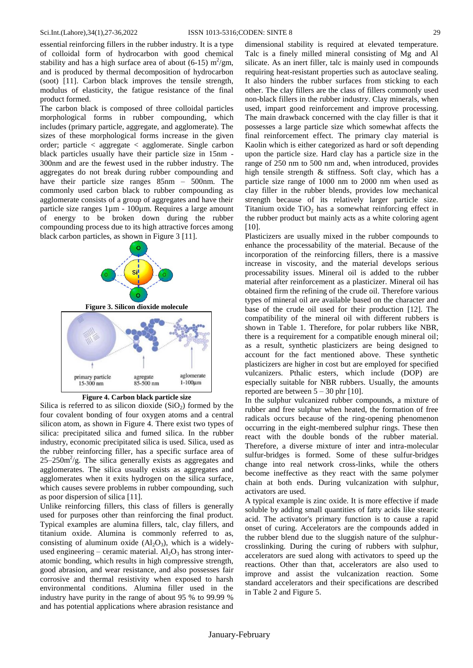essential reinforcing fillers in the rubber industry. It is a type of colloidal form of hydrocarbon with good chemical stability and has a high surface area of about (6-15)  $\text{m}^2/\text{gm}$ , and is produced by thermal decomposition of hydrocarbon (soot) [\[11\]](#page-9-10). Carbon black improves the tensile strength, modulus of elasticity, the fatigue resistance of the final product formed.

The carbon black is composed of three colloidal particles morphological forms in rubber compounding, which includes (primary particle, aggregate, and agglomerate). The sizes of these morphological forms increase in the given order; particle < aggregate < agglomerate. Single carbon black particles usually have their particle size in 15nm - 300nm and are the fewest used in the rubber industry. The aggregates do not break during rubber compounding and have their particle size ranges  $85$ nm – 500nm. The commonly used carbon black to rubber compounding as agglomerate consists of a group of aggregates and have their particle size ranges 1µm - 100µm. Requires a large amount of energy to be broken down during the rubber compounding process due to its high attractive forces among black carbon particles, as shown in Figure 3 [\[11\]](#page-9-10).





Silica is referred to as silicon dioxide  $(SiO<sub>2</sub>)$  formed by the four covalent bonding of four oxygen atoms and a central silicon atom, as shown in Figure 4. There exist two types of silica: precipitated silica and fumed silica. In the rubber industry, economic precipitated silica is used. Silica, used as the rubber reinforcing filler, has a specific surface area of  $25-250m^2/g$ . The silica generally exists as aggregates and agglomerates. The silica usually exists as aggregates and agglomerates when it exits hydrogen on the silica surface, which causes severe problems in rubber compounding, such as poor dispersion of silica [\[11\]](#page-9-10).

Unlike reinforcing fillers, this class of fillers is generally used for purposes other than reinforcing the final product. Typical examples are alumina fillers, talc, clay fillers, and titanium oxide. Alumina is commonly referred to as, consisting of aluminum oxide  $(A<sub>1</sub>, O<sub>3</sub>)$ , which is a widelyused engineering – ceramic material.  $Al_2O_3$  has strong interatomic bonding, which results in high compressive strength, good abrasion, and wear resistance, and also possesses fair corrosive and thermal resistivity when exposed to harsh environmental conditions. Alumina filler used in the industry have purity in the range of about 95 % to 99.99 % and has potential applications where abrasion resistance and

dimensional stability is required at elevated temperature. Talc is a finely milled mineral consisting of Mg and Al silicate. As an inert filler, talc is mainly used in compounds requiring heat-resistant properties such as autoclave sealing. It also hinders the rubber surfaces from sticking to each other. The clay fillers are the class of fillers commonly used non-black fillers in the rubber industry. Clay minerals, when used, impart good reinforcement and improve processing. The main drawback concerned with the clay filler is that it possesses a large particle size which somewhat affects the final reinforcement effect. The primary clay material is Kaolin which is either categorized as hard or soft depending upon the particle size. Hard clay has a particle size in the range of 250 nm to 500 nm and, when introduced, provides high tensile strength & stiffness. Soft clay, which has a particle size range of 1000 nm to 2000 nm when used as clay filler in the rubber blends, provides low mechanical strength because of its relatively larger particle size. Titanium oxide  $TiO<sub>2</sub>$  has a somewhat reinforcing effect in the rubber product but mainly acts as a white coloring agent [\[10\]](#page-9-9).

Plasticizers are usually mixed in the rubber compounds to enhance the processability of the material. Because of the incorporation of the reinforcing fillers, there is a massive increase in viscosity, and the material develops serious processability issues. Mineral oil is added to the rubber material after reinforcement as a plasticizer. Mineral oil has obtained firm the refining of the crude oil. Therefore various types of mineral oil are available based on the character and base of the crude oil used for their production [\[12\]](#page-9-11). The compatibility of the mineral oil with different rubbers is shown in Table 1. Therefore, for polar rubbers like NBR, there is a requirement for a compatible enough mineral oil; as a result, synthetic plasticizers are being designed to account for the fact mentioned above. These synthetic plasticizers are higher in cost but are employed for specified vulcanizers. Pthalic esters, which include (DOP) are especially suitable for NBR rubbers. Usually, the amounts reported are between  $5 - 30$  phr [\[10\]](#page-9-9).

In the sulphur vulcanized rubber compounds, a mixture of rubber and free sulphur when heated, the formation of free radicals occurs because of the ring-opening phenomenon occurring in the eight-membered sulphur rings. These then react with the double bonds of the rubber material. Therefore, a diverse mixture of inter and intra-molecular sulfur-bridges is formed. Some of these sulfur-bridges change into real network cross-links, while the others become ineffective as they react with the same polymer chain at both ends. During vulcanization with sulphur, activators are used.

A typical example is zinc oxide. It is more effective if made soluble by adding small quantities of fatty acids like stearic acid. The activator's primary function is to cause a rapid onset of curing. Accelerators are the compounds added in the rubber blend due to the sluggish nature of the sulphurcrosslinking. During the curing of rubbers with sulphur, accelerators are sued along with activators to speed up the reactions. Other than that, accelerators are also used to improve and assist the vulcanization reaction. Some standard accelerators and their specifications are described in Table 2 and Figure 5.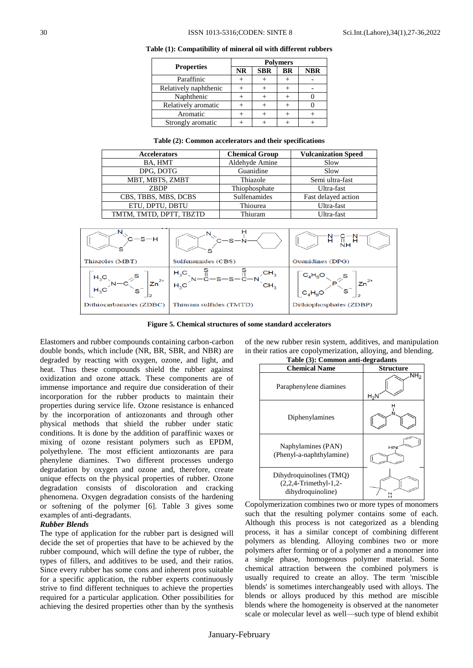|                       | <b>Polymers</b> |            |    |            |  |  |  |
|-----------------------|-----------------|------------|----|------------|--|--|--|
| <b>Properties</b>     | <b>NR</b>       | <b>SBR</b> | BR | <b>NBR</b> |  |  |  |
| Paraffinic            |                 |            |    |            |  |  |  |
| Relatively naphthenic |                 |            |    |            |  |  |  |
| Naphthenic            |                 |            |    |            |  |  |  |
| Relatively aromatic   |                 |            |    |            |  |  |  |
| Aromatic              |                 |            |    |            |  |  |  |
| Strongly aromatic     |                 |            |    |            |  |  |  |

**Table (1): Compatibility of mineral oil with different rubbers**

|  |  |  |  |  |  | Table (2): Common accelerators and their specifications |
|--|--|--|--|--|--|---------------------------------------------------------|
|--|--|--|--|--|--|---------------------------------------------------------|

| <b>Accelerators</b>     | <b>Chemical Group</b> | <b>Vulcanization Speed</b> |
|-------------------------|-----------------------|----------------------------|
| BA, HMT                 | Aldehyde Amine        | Slow                       |
| DPG, DOTG               | Guanidine             | Slow                       |
| MBT, MBTS, ZMBT         | Thiazole              | Semi ultra-fast            |
| <b>ZBDP</b>             | Thiophosphate         | Ultra-fast                 |
| CBS, TBBS, MBS, DCBS    | Sulfenamides          | Fast delayed action        |
| ETU, DPTU, DBTU         | Thiourea              | Ultra-fast                 |
| TMTM, TMTD, DPTT, TBZTD | Thiuram               | Ultra-fast                 |



**Figure 5. Chemical structures of some standard accelerators**

Elastomers and rubber compounds containing carbon-carbon double bonds, which include (NR, BR, SBR, and NBR) are degraded by reacting with oxygen, ozone, and light, and heat. Thus these compounds shield the rubber against oxidization and ozone attack. These components are of immense importance and require due consideration of their incorporation for the rubber products to maintain their properties during service life. Ozone resistance is enhanced by the incorporation of antiozonants and through other physical methods that shield the rubber under static conditions. It is done by the addition of paraffinic waxes or mixing of ozone resistant polymers such as EPDM, polyethylene. The most efficient antiozonants are para phenylene diamines. Two different processes undergo degradation by oxygen and ozone and, therefore, create unique effects on the physical properties of rubber. Ozone degradation consists of discoloration and cracking phenomena. Oxygen degradation consists of the hardening or softening of the polymer [\[6\]](#page-9-5). Table 3 gives some examples of anti-degradants.

#### *Rubber Blends*

The type of application for the rubber part is designed will decide the set of properties that have to be achieved by the rubber compound, which will define the type of rubber, the types of fillers, and additives to be used, and their ratios. Since every rubber has some cons and inherent pros suitable for a specific application, the rubber experts continuously strive to find different techniques to achieve the properties required for a particular application. Other possibilities for achieving the desired properties other than by the synthesis



in their ratios are copolymerization, alloying, and blending.

Copolymerization combines two or more types of monomers such that the resulting polymer contains some of each. Although this process is not categorized as a blending process, it has a similar concept of combining different polymers as blending. Alloying combines two or more polymers after forming or of a polymer and a monomer into a single phase, homogenous polymer material. Some chemical attraction between the combined polymers is usually required to create an alloy. The term 'miscible blends' is sometimes interchangeably used with alloys. The blends or alloys produced by this method are miscible blends where the homogeneity is observed at the nanometer scale or molecular level as well—such type of blend exhibit

of the new rubber resin system, additives, and manipulation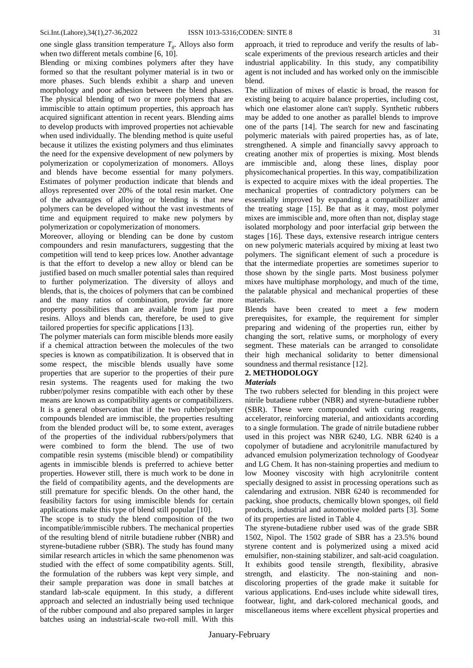one single glass transition temperature  $T<sub>g</sub>$ . Alloys also form when two different metals combine [\[6,](#page-9-5) [10\]](#page-9-9).

Blending or mixing combines polymers after they have formed so that the resultant polymer material is in two or more phases. Such blends exhibit a sharp and uneven morphology and poor adhesion between the blend phases. The physical blending of two or more polymers that are immiscible to attain optimum properties, this approach has acquired significant attention in recent years. Blending aims to develop products with improved properties not achievable when used individually. The blending method is quite useful because it utilizes the existing polymers and thus eliminates the need for the expensive development of new polymers by polymerization or copolymerization of monomers. Alloys and blends have become essential for many polymers. Estimates of polymer production indicate that blends and alloys represented over 20% of the total resin market. One of the advantages of alloying or blending is that new polymers can be developed without the vast investments of time and equipment required to make new polymers by polymerization or copolymerization of monomers.

Moreover, alloying or blending can be done by custom compounders and resin manufacturers, suggesting that the competition will tend to keep prices low. Another advantage is that the effort to develop a new alloy or blend can be justified based on much smaller potential sales than required to further polymerization. The diversity of alloys and blends, that is, the choices of polymers that can be combined and the many ratios of combination, provide far more property possibilities than are available from just pure resins. Alloys and blends can, therefore, be used to give tailored properties for specific applications [\[13\]](#page-9-12).

The polymer materials can form miscible blends more easily if a chemical attraction between the molecules of the two species is known as compatibilization. It is observed that in some respect, the miscible blends usually have some properties that are superior to the properties of their pure resin systems. The reagents used for making the two rubber/polymer resins compatible with each other by these means are known as compatibility agents or compatibilizers. It is a general observation that if the two rubber/polymer compounds blended are immiscible, the properties resulting from the blended product will be, to some extent, averages of the properties of the individual rubbers/polymers that were combined to form the blend. The use of two compatible resin systems (miscible blend) or compatibility agents in immiscible blends is preferred to achieve better properties. However still, there is much work to be done in the field of compatibility agents, and the developments are still premature for specific blends. On the other hand, the feasibility factors for using immiscible blends for certain applications make this type of blend still popular [\[10\]](#page-9-9).

The scope is to study the blend composition of the two incompatible/immiscible rubbers. The mechanical properties of the resulting blend of nitrile butadiene rubber (NBR) and styrene-butadiene rubber (SBR). The study has found many similar research articles in which the same phenomenon was studied with the effect of some compatibility agents. Still, the formulation of the rubbers was kept very simple, and their sample preparation was done in small batches at standard lab-scale equipment. In this study, a different approach and selected an industrially being used technique of the rubber compound and also prepared samples in larger batches using an industrial-scale two-roll mill. With this

approach, it tried to reproduce and verify the results of labscale experiments of the previous research articles and their industrial applicability. In this study, any compatibility agent is not included and has worked only on the immiscible blend.

The utilization of mixes of elastic is broad, the reason for existing being to acquire balance properties, including cost, which one elastomer alone can't supply. Synthetic rubbers may be added to one another as parallel blends to improve one of the parts [\[14\]](#page-9-13). The search for new and fascinating polymeric materials with paired properties has, as of late, strengthened. A simple and financially savvy approach to creating another mix of properties is mixing. Most blends are immiscible and, along these lines, display poor physicomechanical properties. In this way, compatibilization is expected to acquire mixes with the ideal properties. The mechanical properties of contradictory polymers can be essentially improved by expanding a compatibilizer amid the treating stage [\[15\]](#page-9-14). Be that as it may, most polymer mixes are immiscible and, more often than not, display stage isolated morphology and poor interfacial grip between the stages [\[16\]](#page-9-15). These days, extensive research intrigue centers on new polymeric materials acquired by mixing at least two polymers. The significant element of such a procedure is that the intermediate properties are sometimes superior to those shown by the single parts. Most business polymer mixes have multiphase morphology, and much of the time, the palatable physical and mechanical properties of these materials.

Blends have been created to meet a few modern prerequisites, for example, the requirement for simpler preparing and widening of the properties run, either by changing the sort, relative sums, or morphology of every segment. These materials can be arranged to consolidate their high mechanical solidarity to better dimensional soundness and thermal resistance [\[12\]](#page-9-11).

## **2. METHODOLOGY**

#### *Materials*

The two rubbers selected for blending in this project were nitrile butadiene rubber (NBR) and styrene-butadiene rubber (SBR). These were compounded with curing reagents, accelerator, reinforcing material, and antioxidants according to a single formulation. The grade of nitrile butadiene rubber used in this project was NBR 6240, LG. NBR 6240 is a copolymer of butadiene and acrylonitrile manufactured by advanced emulsion polymerization technology of Goodyear and LG Chem. It has non-staining properties and medium to low Mooney viscosity with high acrylonitrile content specially designed to assist in processing operations such as calendaring and extrusion. NBR 6240 is recommended for packing, shoe products, chemically blown sponges, oil field products, industrial and automotive molded parts [\[3\]](#page-9-2). Some of its properties are listed in Table 4.

The styrene-butadiene rubber used was of the grade SBR 1502, Nipol. The 1502 grade of SBR has a 23.5% bound styrene content and is polymerized using a mixed acid emulsifier, non-staining stabilizer, and salt-acid coagulation. It exhibits good tensile strength, flexibility, abrasive strength, and elasticity. The non-staining and nondiscoloring properties of the grade make it suitable for various applications. End-uses include white sidewall tires, footwear, light, and dark-colored mechanical goods, and miscellaneous items where excellent physical properties and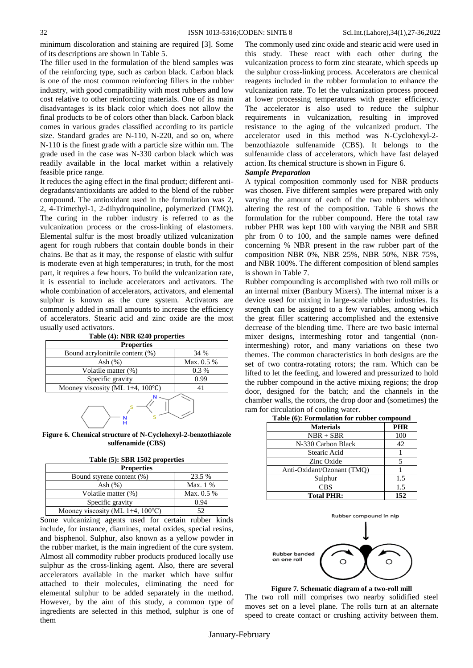minimum discoloration and staining are required [\[3\]](#page-9-2). Some of its descriptions are shown in Table 5.

The filler used in the formulation of the blend samples was of the reinforcing type, such as carbon black. Carbon black is one of the most common reinforcing fillers in the rubber industry, with good compatibility with most rubbers and low cost relative to other reinforcing materials. One of its main disadvantages is its black color which does not allow the final products to be of colors other than black. Carbon black comes in various grades classified according to its particle size. Standard grades are N-110, N-220, and so on, where N-110 is the finest grade with a particle size within nm. The grade used in the case was N-330 carbon black which was readily available in the local market within a relatively feasible price range.

It reduces the aging effect in the final product; different antidegradants/antioxidants are added to the blend of the rubber compound. The antioxidant used in the formulation was 2, 2, 4-Trimethyl-1, 2-dihydroquinoline, polymerized (TMQ). The curing in the rubber industry is referred to as the vulcanization process or the cross-linking of elastomers. Elemental sulfur is the most broadly utilized vulcanization agent for rough rubbers that contain double bonds in their chains. Be that as it may, the response of elastic with sulfur is moderate even at high temperatures; in truth, for the most part, it requires a few hours. To build the vulcanization rate, it is essential to include accelerators and activators. The whole combination of accelerators, activators, and elemental sulphur is known as the cure system. Activators are commonly added in small amounts to increase the efficiency of accelerators. Stearic acid and zinc oxide are the most usually used activators.

| <b>Properties</b>                          |            |  |  |  |  |
|--------------------------------------------|------------|--|--|--|--|
| Bound acrylonitrile content (%)            | 34 %       |  |  |  |  |
| Ash $(\%)$                                 | Max. 0.5 % |  |  |  |  |
| Volatile matter (%)                        | $0.3\%$    |  |  |  |  |
| Specific gravity                           | 0.99       |  |  |  |  |
| Mooney viscosity (ML 1+4, $100^{\circ}$ C) |            |  |  |  |  |
|                                            |            |  |  |  |  |

**Table (4): NBR 6240 properties**

## **Figure 6. Chemical structure of N-Cyclohexyl-2-benzothiazole sulfenamide (CBS)**

| Table (5): SBR 1502 properties |  |  |  |  |
|--------------------------------|--|--|--|--|
|--------------------------------|--|--|--|--|

| <b>Properties</b>                          |              |  |  |  |
|--------------------------------------------|--------------|--|--|--|
| Bound styrene content (%)                  | 23.5 %       |  |  |  |
| Ash $(\%)$                                 | Max. 1 %     |  |  |  |
| Volatile matter (%)                        | Max. $0.5\%$ |  |  |  |
| Specific gravity                           | 0.94         |  |  |  |
| Mooney viscosity (ML 1+4, $100^{\circ}$ C) | 52           |  |  |  |

Some vulcanizing agents used for certain rubber kinds include, for instance, diamines, metal oxides, special resins, and bisphenol. Sulphur, also known as a yellow powder in the rubber market, is the main ingredient of the cure system. Almost all commodity rubber products produced locally use sulphur as the cross-linking agent. Also, there are several accelerators available in the market which have sulfur attached to their molecules, eliminating the need for elemental sulphur to be added separately in the method. However, by the aim of this study, a common type of ingredients are selected in this method, sulphur is one of them

The commonly used zinc oxide and stearic acid were used in this study. These react with each other during the vulcanization process to form zinc stearate, which speeds up the sulphur cross-linking process. Accelerators are chemical reagents included in the rubber formulation to enhance the vulcanization rate. To let the vulcanization process proceed at lower processing temperatures with greater efficiency. The accelerator is also used to reduce the sulphur requirements in vulcanization, resulting in improved resistance to the aging of the vulcanized product. The accelerator used in this method was N-Cyclohexyl-2 benzothiazole sulfenamide (CBS). It belongs to the sulfenamide class of accelerators, which have fast delayed action. Its chemical structure is shown in Figure 6.

#### *Sample Preparation*

A typical composition commonly used for NBR products was chosen. Five different samples were prepared with only varying the amount of each of the two rubbers without altering the rest of the composition. Table 6 shows the formulation for the rubber compound. Here the total raw rubber PHR was kept 100 with varying the NBR and SBR phr from 0 to 100, and the sample names were defined concerning % NBR present in the raw rubber part of the composition NBR 0%, NBR 25%, NBR 50%, NBR 75%, and NBR 100%. The different composition of blend samples is shown in Table 7.

Rubber compounding is accomplished with two roll mills or an internal mixer (Banbury Mixers). The internal mixer is a device used for mixing in large-scale rubber industries. Its strength can be assigned to a few variables, among which the great filler scattering accomplished and the extensive decrease of the blending time. There are two basic internal mixer designs, intermeshing rotor and tangential (nonintermeshing) rotor, and many variations on these two themes. The common characteristics in both designs are the set of two contra-rotating rotors; the ram. Which can be lifted to let the feeding, and lowered and pressurized to hold the rubber compound in the active mixing regions; the drop door, designed for the batch; and the channels in the chamber walls, the rotors, the drop door and (sometimes) the ram for circulation of cooling water.

| <b>Materials</b>           | PHR |
|----------------------------|-----|
| $NBR + SBR$                | 100 |
| N-330 Carbon Black         | 42  |
| Stearic Acid               |     |
| Zinc Oxide                 |     |
| Anti-Oxidant/Ozonant (TMO) |     |
| Sulphur                    | 1.5 |
| ™BS                        | 15  |

**Total PHR: 152**





**Figure 7. Schematic diagram of a two-roll mill**

The two roll mill comprises two nearby solidified steel moves set on a level plane. The rolls turn at an alternate speed to create contact or crushing activity between them.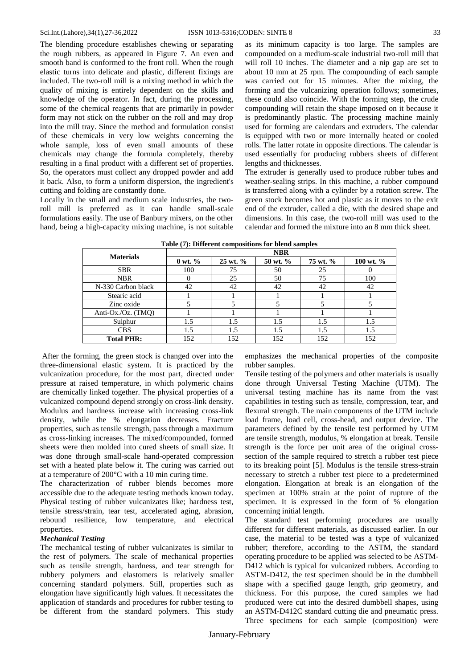The blending procedure establishes chewing or separating the rough rubbers, as appeared in Figure 7. An even and smooth band is conformed to the front roll. When the rough elastic turns into delicate and plastic, different fixings are included. The two-roll mill is a mixing method in which the quality of mixing is entirely dependent on the skills and knowledge of the operator. In fact, during the processing, some of the chemical reagents that are primarily in powder form may not stick on the rubber on the roll and may drop into the mill tray. Since the method and formulation consist of these chemicals in very low weights concerning the whole sample, loss of even small amounts of these chemicals may change the formula completely, thereby resulting in a final product with a different set of properties. So, the operators must collect any dropped powder and add it back. Also, to form a uniform dispersion, the ingredient's cutting and folding are constantly done.

Locally in the small and medium scale industries, the tworoll mill is preferred as it can handle small-scale formulations easily. The use of Banbury mixers, on the other hand, being a high-capacity mixing machine, is not suitable as its minimum capacity is too large. The samples are compounded on a medium-scale industrial two-roll mill that will roll 10 inches. The diameter and a nip gap are set to about 10 mm at 25 rpm. The compounding of each sample was carried out for 15 minutes. After the mixing, the forming and the vulcanizing operation follows; sometimes, these could also coincide. With the forming step, the crude compounding will retain the shape imposed on it because it is predominantly plastic. The processing machine mainly used for forming are calendars and extruders. The calendar is equipped with two or more internally heated or cooled rolls. The latter rotate in opposite directions. The calendar is used essentially for producing rubbers sheets of different lengths and thicknesses.

The extruder is generally used to produce rubber tubes and weather-sealing strips. In this machine, a rubber compound is transferred along with a cylinder by a rotation screw. The green stock becomes hot and plastic as it moves to the exit end of the extruder, called a die, with the desired shape and dimensions. In this case, the two-roll mill was used to the calendar and formed the mixture into an 8 mm thick sheet.

| <b>Materials</b>   | <b>NBR</b>          |                      |          |          |           |  |  |
|--------------------|---------------------|----------------------|----------|----------|-----------|--|--|
|                    | $0 \text{ wt. } \%$ | $25 \text{ wt. } \%$ | 50 wt. % | 75 wt. % | 100 wt. % |  |  |
| <b>SBR</b>         | 100                 | 75                   | 50       | 25       |           |  |  |
| <b>NBR</b>         |                     | 25                   | 50       | 75       | 100       |  |  |
| N-330 Carbon black | 42                  | 42                   | 42       | 42       | 42        |  |  |
| Stearic acid       |                     |                      |          |          |           |  |  |
| Zinc oxide         |                     |                      |          |          |           |  |  |
| Anti-Ox./Oz. (TMQ) |                     |                      |          |          |           |  |  |
| Sulphur            | 1.5                 | 1.5                  | 1.5      | 1.5      | 1.5       |  |  |
| <b>CBS</b>         | 1.5                 | 1.5                  | 1.5      | 1.5      | 1.5       |  |  |
| <b>Total PHR:</b>  | 152                 | 152                  | 152      | 152      | 152       |  |  |

**Table (7): Different compositions for blend samples**

After the forming, the green stock is changed over into the three-dimensional elastic system. It is practiced by the vulcanization procedure, for the most part, directed under pressure at raised temperature, in which polymeric chains are chemically linked together. The physical properties of a vulcanized compound depend strongly on cross-link density. Modulus and hardness increase with increasing cross-link density, while the % elongation decreases. Fracture properties, such as tensile strength, pass through a maximum as cross-linking increases. The mixed/compounded, formed sheets were then molded into cured sheets of small size. It was done through small-scale hand-operated compression set with a heated plate below it. The curing was carried out at a temperature of 200°C with a 10 min curing time.

The characterization of rubber blends becomes more accessible due to the adequate testing methods known today. Physical testing of rubber vulcanizates like; hardness test, tensile stress/strain, tear test, accelerated aging, abrasion, rebound resilience, low temperature, and electrical properties.

#### *Mechanical Testing*

The mechanical testing of rubber vulcanizates is similar to the rest of polymers. The scale of mechanical properties such as tensile strength, hardness, and tear strength for rubbery polymers and elastomers is relatively smaller concerning standard polymers. Still, properties such as elongation have significantly high values. It necessitates the application of standards and procedures for rubber testing to be different from the standard polymers. This study

emphasizes the mechanical properties of the composite rubber samples.

Tensile testing of the polymers and other materials is usually done through Universal Testing Machine (UTM). The universal testing machine has its name from the vast capabilities in testing such as tensile, compression, tear, and flexural strength. The main components of the UTM include load frame, load cell, cross-head, and output device. The parameters defined by the tensile test performed by UTM are tensile strength, modulus, % elongation at break. Tensile strength is the force per unit area of the original crosssection of the sample required to stretch a rubber test piece to its breaking point [\[5\]](#page-9-4). Modulus is the tensile stress-strain necessary to stretch a rubber test piece to a predetermined elongation. Elongation at break is an elongation of the specimen at 100% strain at the point of rupture of the specimen. It is expressed in the form of % elongation concerning initial length.

The standard test performing procedures are usually different for different materials, as discussed earlier. In our case, the material to be tested was a type of vulcanized rubber; therefore, according to the ASTM, the standard operating procedure to be applied was selected to be ASTM-D412 which is typical for vulcanized rubbers. According to ASTM-D412, the test specimen should be in the dumbbell shape with a specified gauge length, grip geometry, and thickness. For this purpose, the cured samples we had produced were cut into the desired dumbbell shapes, using an ASTM-D412C standard cutting die and pneumatic press. Three specimens for each sample (composition) were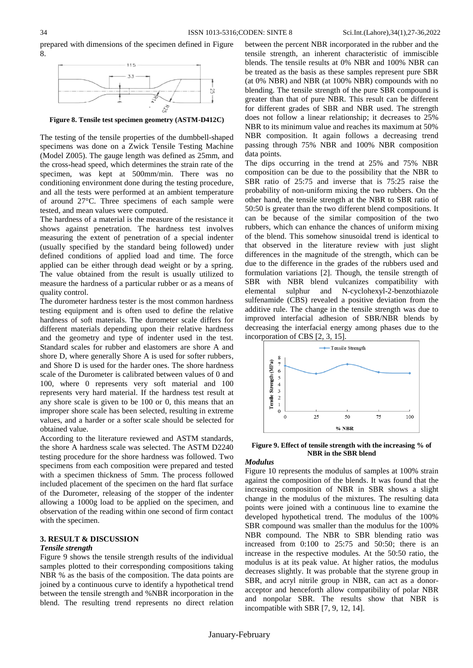



**Figure 8. Tensile test specimen geometry (ASTM-D412C)**

The testing of the tensile properties of the dumbbell-shaped specimens was done on a Zwick Tensile Testing Machine (Model Z005). The gauge length was defined as 25mm, and the cross-head speed, which determines the strain rate of the specimen, was kept at 500mm/min. There was no conditioning environment done during the testing procedure, and all the tests were performed at an ambient temperature of around 27°C. Three specimens of each sample were tested, and mean values were computed.

The hardness of a material is the measure of the resistance it shows against penetration. The hardness test involves measuring the extent of penetration of a special indenter (usually specified by the standard being followed) under defined conditions of applied load and time. The force applied can be either through dead weight or by a spring. The value obtained from the result is usually utilized to measure the hardness of a particular rubber or as a means of quality control.

The durometer hardness tester is the most common hardness testing equipment and is often used to define the relative hardness of soft materials. The durometer scale differs for different materials depending upon their relative hardness and the geometry and type of indenter used in the test. Standard scales for rubber and elastomers are shore A and shore D, where generally Shore A is used for softer rubbers, and Shore D is used for the harder ones. The shore hardness scale of the Durometer is calibrated between values of 0 and 100, where 0 represents very soft material and 100 represents very hard material. If the hardness test result at any shore scale is given to be 100 or 0, this means that an improper shore scale has been selected, resulting in extreme values, and a harder or a softer scale should be selected for obtained value.

According to the literature reviewed and ASTM standards, the shore A hardness scale was selected. The ASTM D2240 testing procedure for the shore hardness was followed. Two specimens from each composition were prepared and tested with a specimen thickness of 5mm. The process followed included placement of the specimen on the hard flat surface of the Durometer, releasing of the stopper of the indenter allowing a 1000g load to be applied on the specimen, and observation of the reading within one second of firm contact with the specimen.

## **3. RESULT & DISCUSSION**

#### *Tensile strength*

Figure 9 shows the tensile strength results of the individual samples plotted to their corresponding compositions taking NBR % as the basis of the composition. The data points are joined by a continuous curve to identify a hypothetical trend between the tensile strength and %NBR incorporation in the blend. The resulting trend represents no direct relation

between the percent NBR incorporated in the rubber and the tensile strength, an inherent characteristic of immiscible blends. The tensile results at 0% NBR and 100% NBR can be treated as the basis as these samples represent pure SBR (at 0% NBR) and NBR (at 100% NBR) compounds with no blending. The tensile strength of the pure SBR compound is greater than that of pure NBR. This result can be different for different grades of SBR and NBR used. The strength does not follow a linear relationship; it decreases to 25% NBR to its minimum value and reaches its maximum at 50% NBR composition. It again follows a decreasing trend passing through 75% NBR and 100% NBR composition data points.

The dips occurring in the trend at 25% and 75% NBR composition can be due to the possibility that the NBR to SBR ratio of 25:75 and inverse that is 75:25 raise the probability of non-uniform mixing the two rubbers. On the other hand, the tensile strength at the NBR to SBR ratio of 50:50 is greater than the two different blend compositions. It can be because of the similar composition of the two rubbers, which can enhance the chances of uniform mixing of the blend. This somehow sinusoidal trend is identical to that observed in the literature review with just slight differences in the magnitude of the strength, which can be due to the difference in the grades of the rubbers used and formulation variations [\[2\]](#page-9-1). Though, the tensile strength of SBR with NBR blend vulcanizes compatibility with elemental sulphur and N-cyclohexyl-2-benzothiazole sulfenamide (CBS) revealed a positive deviation from the additive rule. The change in the tensile strength was due to improved interfacial adhesion of SBR/NBR blends by decreasing the interfacial energy among phases due to the incorporation of CBS [\[2,](#page-9-1) [3,](#page-9-2) [15\]](#page-9-14).



**Figure 9. Effect of tensile strength with the increasing % of NBR in the SBR blend**

#### *Modulus*

Figure 10 represents the modulus of samples at 100% strain against the composition of the blends. It was found that the increasing composition of NBR in SBR shows a slight change in the modulus of the mixtures. The resulting data points were joined with a continuous line to examine the developed hypothetical trend. The modulus of the 100% SBR compound was smaller than the modulus for the 100% NBR compound. The NBR to SBR blending ratio was increased from 0:100 to 25:75 and 50:50; there is an increase in the respective modules. At the 50:50 ratio, the modulus is at its peak value. At higher ratios, the modulus decreases slightly. It was probable that the styrene group in SBR, and acryl nitrile group in NBR, can act as a donoracceptor and henceforth allow compatibility of polar NBR and nonpolar SBR. The results show that NBR is incompatible with SBR [\[7,](#page-9-6) [9,](#page-9-8) [12,](#page-9-11) [14\]](#page-9-13).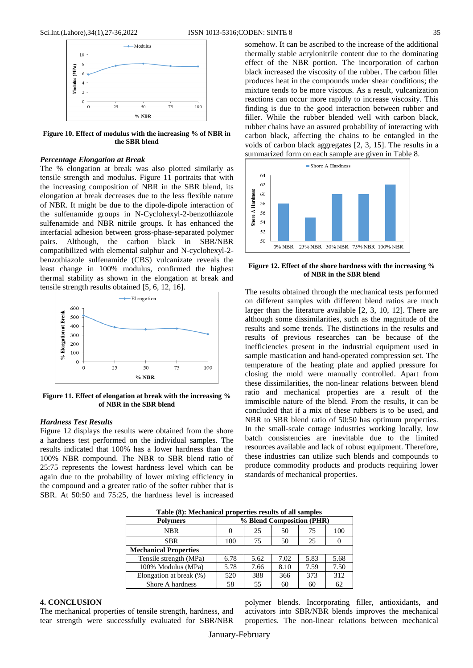

**Figure 10. Effect of modulus with the increasing % of NBR in the SBR blend**

#### *Percentage Elongation at Break*

The % elongation at break was also plotted similarly as tensile strength and modulus. Figure 11 portraits that with the increasing composition of NBR in the SBR blend, its elongation at break decreases due to the less flexible nature of NBR. It might be due to the dipole-dipole interaction of the sulfenamide groups in N-Cyclohexyl-2-benzothiazole sulfenamide and NBR nitrile groups. It has enhanced the interfacial adhesion between gross-phase-separated polymer pairs. Although, the carbon black in SBR/NBR compatibilized with elemental sulphur and N-cyclohexyl-2 benzothiazole sulfenamide (CBS) vulcanizate reveals the least change in 100% modulus, confirmed the highest thermal stability as shown in the elongation at break and tensile strength results obtained [\[5,](#page-9-4) [6,](#page-9-5) [12,](#page-9-11) [16\]](#page-9-15).



**Figure 11. Effect of elongation at break with the increasing % of NBR in the SBR blend**

## *Hardness Test Results*

Figure 12 displays the results were obtained from the shore a hardness test performed on the individual samples. The results indicated that 100% has a lower hardness than the 100% NBR compound. The NBR to SBR blend ratio of 25:75 represents the lowest hardness level which can be again due to the probability of lower mixing efficiency in the compound and a greater ratio of the softer rubber that is SBR. At 50:50 and 75:25, the hardness level is increased

somehow. It can be ascribed to the increase of the additional thermally stable acrylonitrile content due to the dominating effect of the NBR portion. The incorporation of carbon black increased the viscosity of the rubber. The carbon filler produces heat in the compounds under shear conditions; the mixture tends to be more viscous. As a result, vulcanization reactions can occur more rapidly to increase viscosity. This finding is due to the good interaction between rubber and filler. While the rubber blended well with carbon black, rubber chains have an assured probability of interacting with carbon black, affecting the chains to be entangled in the voids of carbon black aggregates [\[2,](#page-9-1) [3,](#page-9-2) [15\]](#page-9-14). The results in a summarized form on each sample are given in Table 8.



**Figure 12. Effect of the shore hardness with the increasing % of NBR in the SBR blend**

The results obtained through the mechanical tests performed on different samples with different blend ratios are much larger than the literature available [\[2,](#page-9-1) [3,](#page-9-2) [10,](#page-9-9) [12\]](#page-9-11). There are although some dissimilarities, such as the magnitude of the results and some trends. The distinctions in the results and results of previous researches can be because of the inefficiencies present in the industrial equipment used in sample mastication and hand-operated compression set. The temperature of the heating plate and applied pressure for closing the mold were manually controlled. Apart from these dissimilarities, the non-linear relations between blend ratio and mechanical properties are a result of the immiscible nature of the blend. From the results, it can be concluded that if a mix of these rubbers is to be used, and NBR to SBR blend ratio of 50:50 has optimum properties. In the small-scale cottage industries working locally, low batch consistencies are inevitable due to the limited resources available and lack of robust equipment. Therefore, these industries can utilize such blends and compounds to produce commodity products and products requiring lower standards of mechanical properties.

| Tuble (0). Hechanical properties results of an sumples |                           |      |      |      |      |  |
|--------------------------------------------------------|---------------------------|------|------|------|------|--|
| <b>Polymers</b>                                        | % Blend Composition (PHR) |      |      |      |      |  |
| <b>NBR</b>                                             | $\theta$                  | 25   | 50   | 75   | 100  |  |
| <b>SBR</b>                                             | 100                       | 75   | 50   | 25   |      |  |
| <b>Mechanical Properties</b>                           |                           |      |      |      |      |  |
| Tensile strength (MPa)                                 | 6.78                      | 5.62 | 7.02 | 5.83 | 5.68 |  |
| 100% Modulus (MPa)                                     | 5.78                      | 7.66 | 8.10 | 7.59 | 7.50 |  |
| Elongation at break (%)                                | 520                       | 388  | 366  | 373  | 312  |  |
| Shore A hardness                                       | 58                        | 55   | 60   | 60   | 62   |  |

**Table (8): Mechanical properties results of all samples**

## **4. CONCLUSION**

The mechanical properties of tensile strength, hardness, and tear strength were successfully evaluated for SBR/NBR polymer blends. Incorporating filler, antioxidants, and activators into SBR/NBR blends improves the mechanical properties. The non-linear relations between mechanical